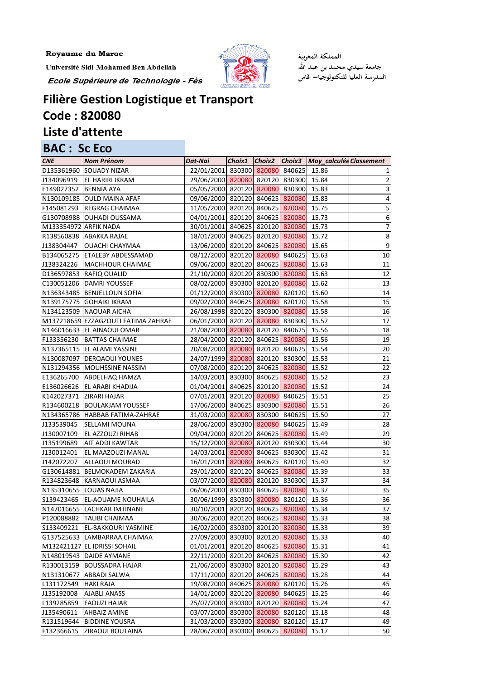F132366615 ZIRAOUI BOUTAINA

Université Sidi Mohamed Ben Abdellah

Ecole Supérieure de Technologie - Fès



المملكة المغربية جامعة سيدي محمد بن عبد الله<br>المدرسة العليا للتكنولوجيا— فاس

## Filière Gestion Logistique et Transport **Code: 820080** Liste d'attente

| <b>BAC: Sc Eco</b>     |                                     |                                 |        |                   |                         |                         |
|------------------------|-------------------------------------|---------------------------------|--------|-------------------|-------------------------|-------------------------|
| <b>CNE</b>             | <b>Nom Prénom</b>                   | Dat-Nai                         | Choix1 | $Choix2$ $Choix3$ | Moy_calculée Classement |                         |
|                        | D135361960 SOUADY NIZAR             | 22/01/2001 830300 820080 840625 |        |                   | 15.86                   | $\mathbf{1}$            |
|                        | J134096919   EL HARIRI IKRAM        | 29/06/2000 820080 820120 830300 |        |                   | 15.84                   | $\overline{2}$          |
| E149027352 BENNIA AYA  |                                     | 05/05/2000 820120 820080 830300 |        |                   | 15.83                   | $\overline{\mathbf{3}}$ |
|                        | N130109185 OUULD MAINA AFAF         | 09/06/2000 820120 840625 820080 |        |                   | 15.83                   | $\boldsymbol{4}$        |
|                        | F145081293 REGRAG CHAIMAA           | 11/05/2000 820120 840625 820080 |        |                   | 15.75                   | $\overline{\mathbf{5}}$ |
|                        | G130708988 OUHADI OUSSAMA           | 04/01/2001 820120 840625 820080 |        |                   | 15.73                   | $6\,$                   |
| M133354972 ARFIK NADA  |                                     | 30/01/2001 840625 820120 820080 |        |                   | 15.73                   | $\overline{z}$          |
|                        | R138560838 ABAKKA RAJAE             | 18/01/2000 840625 820120 820080 |        |                   | 15.72                   | $\bf 8$                 |
| J138304447             | <b>OUACHI CHAYMAA</b>               | 13/06/2000 820120 840625 820080 |        |                   | 15.65                   | $\boldsymbol{9}$        |
|                        | B134065275 ETALEBY ABDESSAMAD       | 08/12/2000 820120 820080 840625 |        |                   | 15.63                   | 10                      |
|                        | J138324226   MACHHOUR CHAIMAE       | 09/06/2000 820120 840625 820080 |        |                   | 15.63                   | 11                      |
|                        | D136597853 RAFIQ OUALID             | 21/10/2000 820120 830300 820080 |        |                   | 15.63                   | 12                      |
|                        | C130051206 DAMRI YOUSSEF            | 08/02/2000 830300 820120 820080 |        |                   | 15.62                   | 13                      |
|                        | N136343485 BENJELLOUN SOFIA         | 01/12/2000 830300 820080 820120 |        |                   | 15.60                   | 14                      |
|                        | N139175775 GOHAIKI IKRAM            | 09/02/2000 840625 820080 820120 |        |                   | 15.58                   | 15                      |
|                        | N134123509 NAOUAR AICHA             | 26/08/1998 820120 830300 820080 |        |                   | 15.58                   | 16                      |
|                        | M137218659 EZZAGZOUTI FATIMA ZAHRAE | 06/01/2000 820120 820080 830300 |        |                   | 15.57                   | 17                      |
|                        | N146016633 EL AINAOUI OMAR          | 21/08/2000 820080 820120 840625 |        |                   | 15.56                   | 18                      |
|                        | F133356230 BATTAS CHAIMAE           | 28/04/2000 820120 840625 820080 |        |                   | 15.56                   | 19                      |
|                        | N137365115 EL ALAMI YASSINE         | 20/08/2000 820080 820120 840625 |        |                   | 15.54                   | 20                      |
|                        | N130087097 DERQAOUI YOUNES          | 24/07/1999 820080 820120 830300 |        |                   | 15.53                   | 21                      |
|                        | N131294356 MOUHSSINE NASSIM         | 07/08/2000 820120 840625 820080 |        |                   | 15.52                   | 22                      |
|                        | E136265700 ABDELHAQ HAMZA           | 14/03/2001 830300 840625 820080 |        |                   | 15.52                   | 23                      |
|                        | E136026626 EL ARABI KHADIJA         | 01/04/2001 840625 820120 820080 |        |                   | 15.52                   | 24                      |
|                        | K142027371 ZIRARI HAJAR             | 07/01/2001 820120 820080 840625 |        |                   | 15.51                   | 25                      |
|                        | R134600218 BOULAKJAM YOUSSEF        | 17/06/2000 840625 830300 820080 |        |                   | 15.51                   | 26                      |
|                        | N134365786 HABBAB FATIMA-ZAHRAE     | 31/03/2000 820080 830300 840625 |        |                   | 15.50                   | 27                      |
| J133539045             | <b>SELLAMI MOUNA</b>                | 28/06/2000 830300 820080 840625 |        |                   | 15.49                   | 28                      |
| J130007109             | <b>EL AZZOUZI RIHAB</b>             | 09/04/2000 820120 840625 820080 |        |                   | 15.49                   | 29                      |
| J135199689             | <b>AIT ADDI KAWTAR</b>              | 15/12/2000 820080 820120 830300 |        |                   | 15.44                   | 30                      |
| J130012401             | <b>EL MAAZOUZI MANAL</b>            | 14/03/2001 820080 840625 830300 |        |                   | 15.42                   | 31                      |
| J142072207             | ALLAOUI MOURAD                      | 16/01/2001 820080 840625 820120 |        |                   | 15.40                   | 32                      |
|                        | G130614881 BELMOKADEM ZAKARIA       | 29/01/2000 820120 840625 820080 |        |                   | 15.39                   | 33                      |
|                        | R134823648 KARNAOUI ASMAA           | 03/07/2000 820080 820120 830300 |        |                   | 15.37                   | 34                      |
| N135310655 LOUAS NAJIA |                                     | 06/06/2000 830300 840625 820080 |        |                   | 15.37                   | 35                      |
|                        | S139423465   EL-AOUAME NOUHAILA     | 30/06/1999 830300 820080 820120 |        |                   | 15.36                   | 36                      |
|                        | N147016655 LACHKAR IMTINANE         | 30/10/2001 820120 840625 820080 |        |                   | 15.34                   | 37                      |
|                        | P120088882 TALIBI CHAIMAA           | 30/06/2000 820120 840625 820080 |        |                   | 15.33                   | 38                      |
|                        | S133409221 EL-BAKKOURI YASMINE      | 16/02/2000 830300 820120 820080 |        |                   | 15.33                   | 39                      |
|                        | G137525633 LAMBARRAA CHAIMAA        | 27/09/2000 830300 820120 820080 |        |                   | 15.33                   | 40                      |
|                        | M132421127 EL IDRISSI SOHAIL        | 01/01/2001 820120 840625 820080 |        |                   | 15.31                   | 41                      |
|                        | N148019543 DAIDE AYMANE             | 22/11/2000 820120 840625 820080 |        |                   | 15.30                   | 42                      |
|                        | R130013159 BOUSSADRA HAJAR          | 21/06/2000 830300 820120 820080 |        |                   | 15.29                   | 43                      |
|                        | N131310677 ABBADI SALWA             | 17/11/2000 820120 840625 820080 |        |                   | 15.28                   | 44                      |
| L131172549             | <b>HAKI RAJA</b>                    | 19/08/2000 840625 820080 820120 |        |                   | 15.26                   | 45                      |
| J135192008             | <b>AJABLI ANASS</b>                 | 14/01/2000 820120 820080 840625 |        |                   | 15.25                   | 46                      |
| L139285859             | <b>FAOUZI HAJAR</b>                 | 25/07/2000 830300 820120 820080 |        |                   | 15.24                   | 47                      |
| J135490611             | <b>AHBAIZ AMINE</b>                 | 03/07/2000 830300 820080 820120 |        |                   | 15.18                   | 48                      |
|                        | R131519644  BIDDINE YOUSRA          | 31/03/2000 830300 820080 820120 |        |                   | 15.17                   | 49                      |

28/06/2000 830300 840625 820080 15.17

 $50$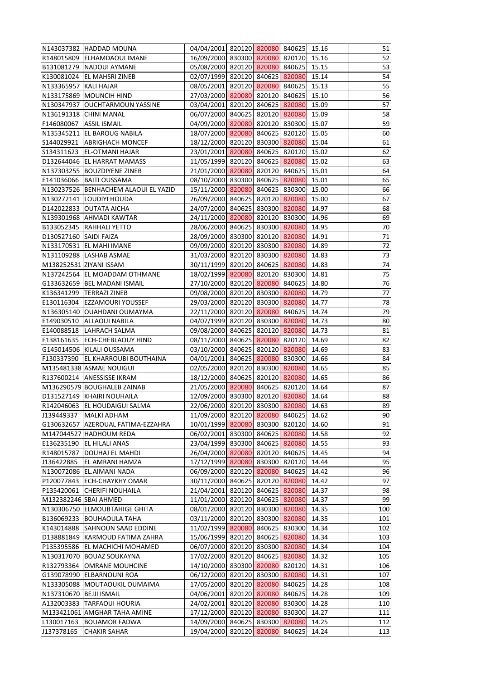|                         | N143037382 HADDAD MOUNA              | 04/04/2001 820120 820080 840625 15.16 |  |       | 51  |
|-------------------------|--------------------------------------|---------------------------------------|--|-------|-----|
|                         | R148015809 ELHAMDAOUI IMANE          | 16/09/2000 830300 820080 820120       |  | 15.16 | 52  |
|                         | B131081279 NADOUI AYMANE             | 05/08/2000 820120 820080 840625       |  | 15.15 | 53  |
|                         | K130081024 EL MAHSRI ZINEB           | 02/07/1999 820120 840625 820080       |  | 15.14 | 54  |
| N133365957 KALI HAJAR   |                                      | 08/05/2001 820120 820080 840625       |  | 15.13 | 55  |
|                         | N133175869 MOUNCIH HIND              | 27/03/2000 820080 820120 840625       |  | 15.10 | 56  |
|                         | N130347937 OUCHTARMOUN YASSINE       | 03/04/2001 820120 840625 820080       |  | 15.09 | 57  |
|                         | N136191318 CHINI MANAL               | 06/07/2000 840625 820120 820080       |  | 15.09 | 58  |
| F146080067 ASSIL ISMAIL |                                      | 04/09/2000 820080 820120 830300       |  | 15.07 | 59  |
|                         | N135345211 EL BAROUG NABILA          | 18/07/2000 820080 840625 820120       |  | 15.05 | 60  |
|                         | S144029921 ABRIGHACH MONCEF          | 18/12/2000 820120 830300 820080       |  | 15.04 | 61  |
|                         | S134311623 EL-OTMANI HAJAR           | 23/01/2001 820080 840625 820120       |  | 15.02 | 62  |
|                         | D132644046 EL HARRAT MAMASS          | 11/05/1999 820120 840625 820080       |  | 15.02 | 63  |
|                         | N137303255 BOUZDIYENE ZINEB          | 21/01/2000 820080 820120 840625       |  | 15.01 | 64  |
|                         | E141036066   BAITI OUSSAMA           | 08/10/2000 830300 840625 820080       |  | 15.01 | 65  |
|                         | N130237526 BENHACHEM ALAOUI EL YAZID | 15/11/2000 820080 840625 830300       |  | 15.00 | 66  |
|                         | N130272141 LOUDIYI HOUDA             | 26/09/2000 840625 820120 820080       |  | 15.00 | 67  |
|                         | D142022833 OUTATA AICHA              | 24/07/2000 840625 830300 820080       |  | 14.97 | 68  |
|                         | N139301968 AHMADI KAWTAR             | 24/11/2000 820080 820120 830300       |  | 14.96 | 69  |
|                         | B133052345 RAHHALI YETTO             | 28/06/2000 840625 830300 820080       |  | 14.95 | 70  |
| D130527160 SAIDI FAIZA  |                                      | 28/09/2000 830300 820120 820080       |  | 14.91 | 71  |
|                         | N133170531 EL MAHI IMANE             | 09/09/2000 820120 830300 820080       |  | 14.89 | 72  |
|                         | N131109288 LASHAB ASMAE              | 31/03/2000 820120 830300 820080       |  | 14.83 | 73  |
|                         | M138252531 ZIYANI ISSAM              | 30/11/1999 820120 840625 820080       |  | 14.83 | 74  |
|                         | N137242564 EL MOADDAM OTHMANE        | 18/02/1999 820080 820120 830300       |  | 14.81 | 75  |
|                         |                                      |                                       |  |       | 76  |
|                         | G133632659 BEL MADANI ISMAIL         | 27/10/2000 820120 820080 840625       |  | 14.80 |     |
|                         | K136341299   TERRAZI ZINEB           | 09/08/2000 820120 830300 820080       |  | 14.79 | 77  |
|                         | E130116304 EZZAMOURI YOUSSEF         | 29/03/2000 820120 830300 820080       |  | 14.77 | 78  |
|                         | N136305140 OUAHDANI OUMAYMA          | 22/11/2000 820120 820080 840625       |  | 14.74 | 79  |
|                         | E149030510 ALLAOUI NABILA            | 04/07/1999 820120 830300 820080       |  | 14.73 | 80  |
|                         | E140088518   LAHRACH SALMA           | 09/08/2000 840625 820120 820080       |  | 14.73 | 81  |
|                         | E138161635 ECH-CHEBLAOUY HIND        | 08/11/2000 840625 820080 820120 14.69 |  |       | 82  |
|                         | G145014506 KILALI OUSSAMA            | 03/10/2000 840625 820120 820080       |  | 14.69 | 83  |
|                         | F130337390 EL KHARROUBI BOUTHAINA    | 04/01/2001 840625 820080 830300       |  | 14.66 | 84  |
|                         | M135481338 ASMAE NOUIGUI             | 02/05/2000 820120 830300 820080       |  | 14.65 | 85  |
|                         | R137600214 ANESSISSE IKRAM           | 18/12/2000 840625 820120 820080       |  | 14.65 | 86  |
|                         | M136290579 BOUGHALEB ZAINAB          | 21/05/2000 820080 840625 820120       |  | 14.64 | 87  |
|                         | D131527149 KHAIRI NOUHAILA           | 12/09/2000 830300 820120 820080       |  | 14.64 | 88  |
|                         | R142046063 EL HOUDAIGUI SALMA        | 22/06/2000 820120 830300 820080       |  | 14.63 | 89  |
|                         | J139449337   MALKI ADHAM             | 11/09/2000 820120 820080 840625       |  | 14.62 | 90  |
|                         | G130632657 AZEROUAL FATIMA-EZZAHRA   | 10/01/1999 820080 830300 820120       |  | 14.60 | 91  |
|                         | M147044527 HADHOUM REDA              | 06/02/2001 830300 840625 820080       |  | 14.58 | 92  |
|                         | E136235190 EL HILALI ANAS            | 23/04/1999 830300 840625 820080       |  | 14.55 | 93  |
|                         | R148015787   DOUHAJ EL MAHDI         | 26/04/2000 820080 820120 840625       |  | 14.45 | 94  |
|                         | J136422885   EL AMRANI HAMZA         | 17/12/1999 820080 830300 820120       |  | 14.44 | 95  |
|                         | N130072086 EL.AIMANI NADA            | 06/09/2000 820120 820080 840625       |  | 14.42 | 96  |
|                         | P120077843 ECH-CHAYKHY OMAR          | 30/11/2000 840625 820120 820080       |  | 14.42 | 97  |
|                         | P135420061 CHERIFI NOUHAILA          | 21/04/2001 820120 840625 820080       |  | 14.37 | 98  |
| M132382246 SBAI AHMED   |                                      | 11/01/2000 820120 840625 820080       |  | 14.37 | 99  |
|                         | N130306750 ELMOUBTAHIGE GHITA        | 08/01/2000 820120 830300 820080       |  | 14.35 | 100 |
|                         | B136069233 BOUHAOULA TAHA            | 03/11/2000 820120 830300 820080       |  | 14.35 | 101 |
|                         | K143014888 SAHNOUN SAAD EDDINE       | 11/02/1999 820080 840625 830300       |  | 14.34 | 102 |
|                         | D138881849 KARMOUD FATIMA ZAHRA      | 15/06/1999 820120 840625 820080       |  | 14.34 | 103 |
|                         | P135395586 EL MACHICHI MOHAMED       | 06/07/2000 820120 830300 820080       |  | 14.34 | 104 |
|                         | N130317070 BOUAZ SOUKAYNA            | 17/02/2000 820120 840625 820080       |  | 14.32 | 105 |
|                         | R132793364 OMRANE MOUHCINE           | 14/10/2000 830300 820080 820120       |  | 14.31 | 106 |
|                         | G139078990 ELBARNOUNI ROA            | 06/12/2000 820120 830300 820080       |  | 14.31 | 107 |
|                         | N133305088 MOUTAOUKIL OUMAIMA        | 17/05/2000 820120 820080 840625       |  | 14.28 | 108 |
| N137310670 BEJJI ISMAIL |                                      | 04/06/2001 820120 820080 840625       |  | 14.28 | 109 |
|                         | A132003383 TARFAOUI HOURIA           | 24/02/2001 820120 820080 830300       |  | 14.28 | 110 |
|                         | M133421061 AMGHAR TAHA AMINE         | 17/12/2000 820120 820080 830300       |  | 14.27 | 111 |
|                         | L130017163 BOUAMOR FADWA             | 14/09/2000 840625 830300 820080       |  | 14.25 | 112 |
| J137378165              | <b>CHAKIR SAHAR</b>                  | 19/04/2000 820120 820080 840625       |  | 14.24 | 113 |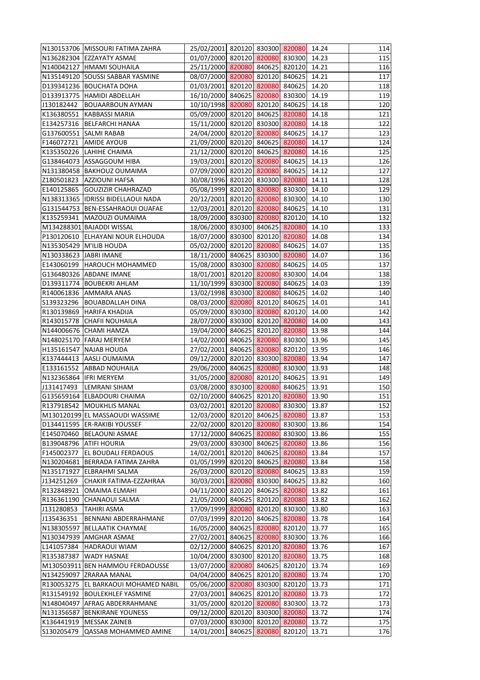|                        | N130153706 MISSOURI FATIMA ZAHRA     | 25/02/2001 820120 830300 820080 14.24 |  |       | 114 |
|------------------------|--------------------------------------|---------------------------------------|--|-------|-----|
|                        | N136282304 EZZAYATY ASMAE            | 01/07/2000 820120 820080 830300       |  | 14.23 | 115 |
|                        | N140042127  HMAMI SOUHAILA           | 25/11/2000 820080 840625 820120       |  | 14.21 | 116 |
|                        | N135149120 SOUSSI SABBAR YASMINE     | 08/07/2000 820080 820120 840625       |  | 14.21 | 117 |
|                        | D139341236 BOUCHATA DOHA             | 01/03/2001 820120 820080 840625       |  | 14.20 | 118 |
|                        | D133913775 HAMIDI ABDELLAH           | 16/10/2000 840625 820080 830300       |  | 14.19 | 119 |
|                        | J130182442   BOUAARBOUN AYMAN        | 10/10/1998 820080 820120 840625       |  | 14.18 | 120 |
|                        | K136380551 KABBASSI MARIA            | 05/09/2000 820120 840625 820080       |  | 14.18 | 121 |
|                        | E134257316 BELFARCHI HANAA           | 15/11/2000 820120 830300 820080       |  | 14.18 | 122 |
|                        | G137600551 SALMI RABAB               | 24/04/2000 820120 820080 840625       |  | 14.17 | 123 |
|                        | F146072721 AMIDE AYOUB               | 21/09/2000 820120 840625 820080       |  | 14.17 | 124 |
|                        | K135350226 LAHIHE CHAIMA             | 21/12/2000 820120 840625 820080       |  | 14.16 | 125 |
|                        | G138464073 ASSAGGOUM HIBA            | 19/03/2001 820120 820080 840625       |  | 14.13 | 126 |
|                        | N131380458 BAKHOUZ OUMAIMA           | 07/09/2000 820120 820080 840625       |  | 14.12 | 127 |
|                        | Z180501823 AZZIOUNI HAFSA            | 30/08/1996 820120 830300 820080       |  | 14.11 | 128 |
|                        | E140125865 GOUZIZIR CHAHRAZAD        | 05/08/1999 820120 820080 830300       |  | 14.10 | 129 |
|                        | N138313365  IDRISSI BIDELLAOUI NADA  | 20/12/2001 820120 820080 830300       |  | 14.10 | 130 |
|                        | G131544753   BEN-ESSAHRAOUI OUAFAE   | 12/03/2001 820120 820080 840625       |  | 14.10 | 131 |
|                        | K135259341   MAZOUZI OUMAIMA         | 18/09/2000 830300 820080 820120       |  | 14.10 | 132 |
|                        | M134288301 BAJADDI WISSAL            | 18/06/2000 830300 840625 820080       |  | 14.10 | 133 |
|                        | P130120610 ELHAYANI NOUR ELHOUDA     | 18/07/2000 830300 820120 820080       |  | 14.08 | 134 |
|                        | N135305429 M'ILIB HOUDA              | 05/02/2000 820120 820080 840625       |  | 14.07 | 135 |
| N130338623 JABRI IMANE |                                      | 18/11/2000 840625 830300 820080       |  | 14.07 | 136 |
|                        | E143060199   HAROUCH MOHAMMED        | 15/08/2000 830300 820080 840625       |  | 14.05 | 137 |
|                        | G136480326 ABDANE IMANE              | 18/01/2001 820120 820080 830300       |  | 14.04 | 138 |
|                        | D139311774   BOUBEKRI AHLAM          | 11/10/1999 830300 820080 840625       |  | 14.03 | 139 |
|                        | R140061836 AMMARA ANAS               | 13/02/1998 830300 820080 840625       |  | 14.02 | 140 |
|                        | S139323296   BOUABDALLAH DINA        | 08/03/2000 820080 820120 840625       |  | 14.01 | 141 |
|                        | R130139869 HARIFA KHADIJA            | 05/09/2000 830300 820080 820120       |  | 14.00 | 142 |
|                        | R143015778 CHAFII NOUHAILA           | 28/07/2000 830300 820120 820080       |  | 14.00 | 143 |
|                        | N144006676 CHAMI HAMZA               | 19/04/2000 840625 820120 820080       |  | 13.98 | 144 |
|                        | N148025170 FARAJ MERYEM              | 14/02/2000 840625 820080 830300 13.96 |  |       | 145 |
|                        | H135161547 NAJAB HOUDA               | 27/02/2001 840625 820080 820120       |  | 13.95 | 146 |
|                        | K137444413 AASLI OUMAIMA             | 09/12/2000 820120 830300 820080       |  | 13.94 | 147 |
|                        | E133161552 ABBAD NOUHAILA            | 29/06/2000 840625 820080 830300       |  | 13.93 | 148 |
|                        | N132365864 IFRI MERYEM               | 31/05/2000 820080 820120 840625       |  | 13.91 | 149 |
|                        | J131417493  LEMRANI SIHAM            | 03/08/2000 830300 820080 840625       |  | 13.91 | 150 |
|                        | G135659164 ELBADOURI CHAIMA          | 02/10/2000 840625 820120 820080       |  | 13.90 | 151 |
|                        | R137918542 MOUKHLIS MANAL            | 03/02/2001 820120 820080 830300       |  | 13.87 | 152 |
|                        | M130120199 EL MASSAOUDI WASSIME      | 12/03/2000 820120 840625 820080       |  | 13.87 | 153 |
|                        | D134411595 ER-RAKIBI YOUSSEF         | 22/02/2000 820120 820080 830300       |  | 13.86 | 154 |
|                        | E145070460   BELAOUNI ASMAE          | 17/12/2000 840625 820080 830300       |  | 13.86 | 155 |
|                        | B139048796 ATIFI HOURIA              | 29/03/2000 830300 840625 820080       |  | 13.86 | 156 |
|                        | F145002377 EL BOUDALI FERDAOUS       | 14/02/2001 820120 840625 820080       |  | 13.84 | 157 |
|                        | N130204681 BERRADA FATIMA ZAHRA      | 01/05/1999 820120 840625 820080       |  | 13.84 | 158 |
|                        | N135171927 ELBRAHMI SALMA            | 26/03/2000 820120 820080 840625       |  | 13.83 | 159 |
|                        | J134251269 CHAKIR FATIMA-EZZAHRAA    | 30/03/2001 820080 830300 840625       |  | 13.82 | 160 |
|                        | R132848921 OMAIMA ELMAHI             | 04/11/2000 820120 840625 820080       |  | 13.82 | 161 |
|                        | R136361190 CHANAOUI SALMA            | 21/05/2000 840625 820120 820080       |  | 13.82 | 162 |
| J131280853             | <b>TAHIRI ASMA</b>                   | 17/09/1999 820080 820120 830300       |  | 13.80 | 163 |
|                        | J135436351 BENNANI ABDERRAHMANE      | 07/03/1999 820120 840625 820080       |  | 13.78 | 164 |
|                        | N138305597 BELLAATIK CHAYMAE         | 16/05/2000 840625 820080 820120       |  | 13.77 | 165 |
|                        | N130347939 AMGHAR ASMAE              | 27/02/2001 840625 820080 830300       |  | 13.76 | 166 |
|                        | L141057384   HADRAOUI WIAM           | 02/12/2000 840625 820120 820080       |  | 13.76 | 167 |
|                        | R135387387 WADY HASNAE               | 10/04/2000 830300 820120 820080       |  | 13.75 | 168 |
|                        | M130503911 BEN HAMMOU FERDAOUSSE     | 13/07/2000 820080 840625 820120       |  | 13.74 | 169 |
|                        | N134259097 ZRARAA MANAL              | 04/04/2000 840625 820120 820080       |  | 13.74 | 170 |
|                        | R130053275 EL BARKAOUI MOHAMED NABIL | 05/06/2000 820080 830300 820120       |  | 13.73 | 171 |
|                        | R131549192 BOULEKHLEF YASMINE        | 27/03/2001 840625 820120 820080       |  | 13.73 | 172 |
|                        | N148040497 AFRAG ABDERRAHMANE        | 31/05/2000 820120 820080 830300       |  | 13.72 | 173 |
|                        | N131356587 BENKIRANE YOUNESS         | 09/12/2000 820120 830300 820080       |  | 13.72 | 174 |
|                        | K136441919   MESSAK ZAINEB           | 07/03/2000 830300 820120 820080       |  | 13.72 | 175 |
|                        | S130205479 QASSAB MOHAMMED AMINE     | 14/01/2001 840625 820080 820120       |  | 13.71 | 176 |
|                        |                                      |                                       |  |       |     |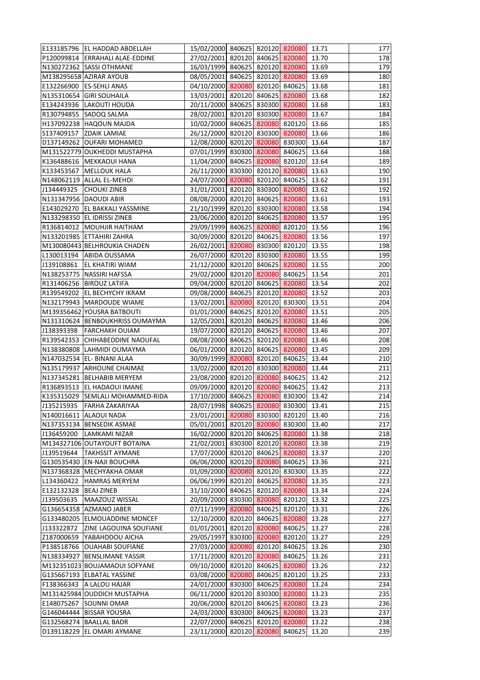|                         | E133185796   EL HADDAD ABDELLAH                         | 15/02/2000 840625 820120 820080 13.71                              |  |                | 177        |
|-------------------------|---------------------------------------------------------|--------------------------------------------------------------------|--|----------------|------------|
|                         | P120099814 ERRAHALI ALAE-EDDINE                         | 27/02/2001 820120 840625 820080                                    |  | 13.70          | 178        |
|                         | N130272362 SASSI OTHMANE                                | 16/03/1999 840625 820120 820080                                    |  | 13.69          | 179        |
|                         | M138295658 AZIRAR AYOUB                                 | 08/05/2001 840625 820120 820080                                    |  | 13.69          | 180        |
|                         | E132266900 ES-SEHLI ANAS                                | 04/10/2000 820080 820120 840625                                    |  | 13.68          | 181        |
|                         | N135310654 GIRI SOUHAILA                                | 13/03/2001 820120 840625 820080                                    |  | 13.68          | 182        |
|                         | E134243936 LAKOUTI HOUDA                                | 20/11/2000 840625 830300 820080                                    |  | 13.68          | 183        |
|                         | R130794855 SADOQ SALMA                                  | 28/02/2001 820120 830300 820080                                    |  | 13.67          | 184        |
|                         | H137092238 HAQOUN MAJDA                                 | 10/02/2000 840625 820080 820120                                    |  | 13.66          | 185        |
|                         | S137409157 ZDAIK LAMIAE                                 | 26/12/2000 820120 830300 820080                                    |  | 13.66          | 186        |
|                         | D137149262 OUFARI MOHAMED                               | 12/08/2000 820120 820080 830300                                    |  | 13.64          | 187        |
|                         | M131522779 OUKHEDDI MUSTAPHA                            | 07/01/1999 830300 820080 840625                                    |  | 13.64          | 188        |
|                         | K136488616   MEKKAOUI HANA                              | 11/04/2000 840625 820080 820120                                    |  | 13.64          | 189        |
|                         | K133453567 MELLOUK HALA                                 | 26/11/2000 830300 820120 820080                                    |  | 13.63          | 190        |
|                         | N148062119 ALLAL EL-MEHDI                               | 24/07/2000 820080 820120 840625                                    |  | 13.62          | 191        |
|                         | J134449325 CHOUKI ZINEB                                 | 31/01/2001 820120 830300 820080                                    |  | 13.62          | 192        |
|                         | N131347956 DAOUDI ABIR                                  | 08/08/2000 820120 840625 820080                                    |  | 13.61          | 193        |
|                         | E143029270 EL BAKKALI YASSMINE                          | 21/10/1999 820120 830300 820080                                    |  | 13.58          | 194        |
|                         | N133298350 EL IDRISSI ZINEB                             | 23/06/2000 820120 840625 820080                                    |  | 13.57          | 195        |
|                         | R136814012 MOUHJIR HAITHAM                              | 29/09/1999 840625 820080 820120                                    |  | 13.56          | 196        |
|                         | N133201985 ETTAHIRI ZAHRA                               | 30/09/2000 820120 840625 820080                                    |  | 13.56          | 197        |
|                         | M130080443 BELHROUKIA CHADEN                            | 26/02/2001 820080 830300 820120                                    |  | 13.55          | 198        |
|                         | L130013194 ABIDA OUSSAMA                                | 26/07/2000 820120 830300 820080                                    |  | 13.55          | 199        |
|                         | J139108861 EL KHATIRI WIAM                              | 21/12/2000 820120 840625 820080                                    |  | 13.55          | 200        |
|                         | N138253775   NASSIRI HAFSSA                             | 29/02/2000 820120 820080 840625                                    |  | 13.54          | 201        |
|                         | R131406256 BIROUZ LATIFA                                | 09/04/2000 820120 840625 820080                                    |  | 13.54          | 202        |
|                         | R139549202 EL BECHYCHY IKRAM                            | 09/08/2000 840625 820120 820080                                    |  | 13.52          | 203        |
|                         | N132179943   MARDOUDE WIAME                             | 13/02/2001 820080 820120 830300                                    |  | 13.51          | 204        |
|                         | M139356462 YOUSRA BATBOUTI                              | 01/01/2000 840625 820120 820080                                    |  | 13.51          | 205        |
|                         | N131310624 BENBOUKHRISS OUMAYMA                         | 12/05/2001 820120 840625 820080                                    |  | 13.46          | 206        |
|                         | J138393398   FARCHAKH OUIAM                             | 19/07/2000 820120 840625 820080                                    |  | 13.46          | 207        |
|                         | R139542353 CHIHABEDDINE NAOUFAL                         | 08/08/2000 840625 820120 820080 13.46                              |  |                | 208        |
|                         | N138380808 LAHMIDI OUMAYMA                              | 06/01/2000 820120 840625 820080                                    |  | 13.45          | 209        |
|                         | N147032534 EL- BINANI ALAA                              | 30/09/1999 820080 820120 840625                                    |  | 13.44          | 210        |
|                         | N135179937 ARHOUNE CHAIMAE                              | 13/02/2000 820120 830300 820080                                    |  | 13.44          | 211        |
|                         | N137345281 BELHABIB MERYEM                              | 23/08/2000 820120 820080 840625                                    |  | 13.42          | 212        |
|                         | R136893513 EL HADAOUI IMANE                             | 09/09/2000 820120 820080 840625                                    |  | 13.42          | 213        |
|                         | K135315029 SEMLALI MOHAMMED-RIDA                        | 17/10/2000 840625 820080 830300                                    |  | 13.42          | 214        |
|                         | J135215935   FARHA ZAKARIYAA                            | 28/07/1998 840625 820080 830300                                    |  | 13.41          | 215        |
|                         | N140016611 ALAOUI NADA                                  | 23/01/2001 820080 830300 820120                                    |  | 13.40          | 216        |
|                         | N137353134 BENSEDIK ASMAE                               | 05/01/2001 820120 820080 830300                                    |  | 13.40          | 217        |
|                         | J136459200  LAMKAMI NIZAR                               | 16/02/2000 820120 840625 820080                                    |  | 13.38          | 218        |
|                         |                                                         |                                                                    |  |                |            |
|                         | M134327106 OUTAYOUFT BOTAINA                            | 21/02/2001 830300 820120 820080                                    |  | 13.38          | 219        |
|                         | J139519644   TAKHSSIT AYMANE                            | 17/07/2000 820120 840625 820080                                    |  | 13.37          | 220        |
|                         | G130535430 EN-NAJI BOUCHRA<br>N137368328 MECHYAKHA OMAR | 06/06/2000 820120 820080 840625<br>01/09/2000 820080 820120 830300 |  | 13.36<br>13.35 | 221<br>222 |
|                         |                                                         |                                                                    |  |                |            |
|                         | L134360422   HAMRAS MERYEM                              | 06/06/1999 820120 840625 820080                                    |  | 13.35          | 223        |
| E132132328   BEAJ ZINEB |                                                         | 31/10/2000 840625 820120 820080                                    |  | 13.34          | 224        |
|                         | J139503635   MAAZOUZ WISSAL                             | 20/09/2000 830300 820080 820120                                    |  | 13.32          | 225        |
|                         | G136654358 AZMANO JABER                                 | 07/11/1999 820080 840625 820120                                    |  | 13.31          | 226        |
|                         | G133480205 ELMOUADDINE MONCEF                           | 12/10/2000 820120 840625 820080                                    |  | 13.28          | 227        |
|                         | J133322872 ZINE LAGOUINA SOUFIANE                       | 01/01/2001 820120 820080 840625                                    |  | 13.27          | 228        |
|                         | Z187000659 YABAHDDOU AICHA                              | 29/05/1997 830300 820080 820120                                    |  | 13.27          | 229        |
|                         | P138518766 OUAHABI SOUFIANE                             | 27/03/2000 820080 820120 840625                                    |  | 13.26          | 230        |
|                         | N138334927 BENSLIMANE YASSIR                            | 17/11/2000 820120 820080 840625                                    |  | 13.26          | 231        |
|                         | M132351023 BOUJAMAOUI SOFYANE                           | 09/10/2000 820120 840625 820080                                    |  | 13.26          | 232        |
|                         | G135667193 ELBATAL YASSINE                              | 03/08/2000 820080 840625 820120                                    |  | 13.25          | 233        |
|                         | F138366343   A LALOU HAJAR                              | 24/01/2000 830300 840625 820080                                    |  | 13.24          | 234        |
|                         | M131425984 OUDDICH MUSTAPHA                             | 06/11/2000 820120 830300 820080                                    |  | 13.23          | 235        |
|                         | E148075267 SOUNNI OMAR                                  | 20/06/2000 820120 840625 820080                                    |  | 13.23          | 236        |
|                         | G146044444 BISSAR YOUSRA                                | 24/03/2000 830300 840625 820080                                    |  | 13.23          | 237        |
|                         | G132568274 BAALLAL BADR                                 | 22/07/2000 840625 820120 820080                                    |  | 13.22          | 238        |
|                         | D139118229 EL OMARI AYMANE                              | 23/11/2000 820120 820080 840625                                    |  | 13.20          | 239        |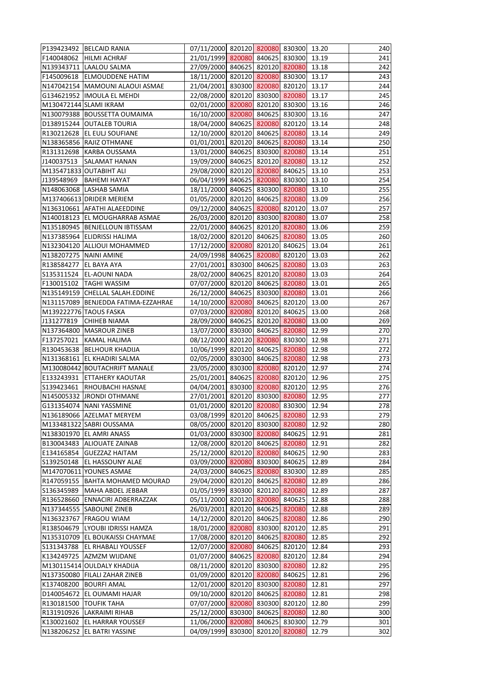|                        | P139423492 BELCAID RANIA            | 07/11/2000 820120 820080 830300 13.20 |  |       | 240 |
|------------------------|-------------------------------------|---------------------------------------|--|-------|-----|
|                        | F140048062 HILMI ACHRAF             | 21/01/1999 820080 840625 830300       |  | 13.19 | 241 |
|                        | N139343711  LAALOU SALMA            | 27/09/2000 840625 820120 820080       |  | 13.18 | 242 |
| F145009618             | <b>ELMOUDDENE HATIM</b>             | 18/11/2000 820120 820080 830300       |  | 13.17 | 243 |
|                        | N147042154 MAMOUNI ALAOUI ASMAE     | 21/04/2001 830300 820080 820120       |  | 13.17 | 244 |
|                        | G134621952  IMOULA EL MEHDI         | 22/08/2000 820120 830300 820080       |  | 13.17 | 245 |
|                        | M130472144 SLAMI IKRAM              | 02/01/2000 820080 820120 830300       |  | 13.16 | 246 |
|                        | N130079388 BOUSSETTA OUMAIMA        | 16/10/2000 820080 840625 830300       |  | 13.16 | 247 |
|                        | D138915244 OUTALEB TOURIA           | 18/04/2000 840625 820080 820120       |  | 13.14 | 248 |
|                        | R130212628 EL EULJ SOUFIANE         | 12/10/2000 820120 840625 820080       |  | 13.14 | 249 |
|                        | N138365856 RAJIZ OTHMANE            | 01/01/2001 820120 840625 820080       |  | 13.14 | 250 |
|                        | R131312698 KARBA OUSSAMA            | 13/01/2000 840625 830300 820080       |  | 13.14 | 251 |
| J140037513             | <b>SALAMAT HANAN</b>                | 19/09/2000 840625 820120 820080       |  | 13.12 | 252 |
|                        | M135471833 OUTABIHT ALI             | 29/08/2000 820120 820080 840625       |  | 13.10 | 253 |
|                        | J139548969   BAHEMI HAYAT           | 06/04/1999 840625 820080 830300       |  | 13.10 | 254 |
|                        | N148063068 LASHAB SAMIA             | 18/11/2000 840625 830300 820080       |  | 13.10 | 255 |
|                        | M137406613 DRIDER MERIEM            | 01/05/2000 820120 840625 820080       |  | 13.09 | 256 |
|                        | N136310661 AFATHI ALAEEDDINE        | 09/12/2000 840625 820080 820120       |  | 13.07 | 257 |
|                        | N140018123 EL MOUGHARRAB ASMAE      | 26/03/2000 820120 830300 820080       |  | 13.07 | 258 |
|                        | N135180945 BENJELLOUN IBTISSAM      | 22/01/2000 840625 820120 820080       |  | 13.06 | 259 |
|                        | N137385964 ELIDRISSI HALIMA         | 18/02/2000 820120 840625 820080       |  | 13.05 | 260 |
|                        | N132304120 ALLIOUI MOHAMMED         | 17/12/2000 820080 820120 840625       |  | 13.04 | 261 |
| N138207275 NAINI AMINE |                                     | 24/09/1998 840625 820080 820120       |  | 13.03 | 262 |
| R138584277 EL BAYA AYA |                                     | 27/01/2001 830300 840625 820080       |  | 13.03 | 263 |
|                        | S135311524 EL-AOUNI NADA            | 28/02/2000 840625 820120 820080       |  | 13.03 | 264 |
|                        | F130015102  TAGHI WASSIM            | 07/07/2000 820120 840625 820080       |  | 13.01 | 265 |
|                        | N135149159 CHELLAL SALAH.EDDINE     | 26/12/2000 840625 830300 820080       |  | 13.01 | 266 |
|                        | N131157089 BENJEDDA FATIMA-EZZAHRAE | 14/10/2000 820080 840625 820120       |  | 13.00 | 267 |
|                        | M139222776 TAOUS FASKA              | 07/03/2000 820080 820120 840625       |  | 13.00 | 268 |
| J131277819             | <b>CHIHEB NIAMA</b>                 | 28/09/2000 840625 820120 820080       |  | 13.00 | 269 |
|                        | N137364800 MASROUR ZINEB            | 13/07/2000 830300 840625 820080       |  | 12.99 | 270 |
|                        | F137257021 KAMAL HALIMA             | 08/12/2000 820120 820080 830300 12.98 |  |       | 271 |
|                        | R130453638 BELHOUR KHADIJA          | 10/06/1999 820120 840625 820080       |  | 12.98 | 272 |
|                        | N131368161 EL KHADIRI SALMA         | 02/05/2000 830300 840625 820080       |  | 12.98 | 273 |
|                        | M130080442 BOUTACHRIFT MANALE       | 23/05/2000 830300 820080 820120       |  | 12.97 | 274 |
|                        | E133243931 ETTAHERY KAOUTAR         | 25/01/2001 840625 820080 820120       |  | 12.96 | 275 |
|                        | S139423461 RHOUBACHI HASNAE         | 04/04/2001 830300 820080 820120       |  | 12.95 | 276 |
|                        | N145005332 JRONDI OTHMANE           | 27/01/2001 820120 830300 820080       |  | 12.95 | 277 |
|                        | G131354074 NANI YASSMINE            | 01/01/2000 820120 820080 830300       |  | 12.94 | 278 |
|                        | N136189066 AZELMAT MERYEM           | 03/08/1999 820120 840625 820080       |  | 12.93 | 279 |
|                        | M133481322 SABRI OUSSAMA            | 08/05/2000 820120 830300 820080       |  | 12.92 | 280 |
|                        | N138301970 EL AMRI ANASS            | 01/03/2000 830300 820080 840625       |  | 12.91 | 281 |
|                        | B130043483 ALIOUATE ZAINAB          | 12/08/2000 820120 840625 820080       |  | 12.91 | 282 |
|                        | E134165854 GUEZZAZ HAITAM           | 25/12/2000 820120 820080 840625       |  | 12.90 | 283 |
|                        | S139250148  EL HASSOUNY ALAE        | 03/09/2000 820080 830300 840625       |  | 12.89 | 284 |
|                        | M147070611 YOUNES ASMAE             | 24/03/2000 840625 820080 830300       |  | 12.89 | 285 |
|                        | R147059155 BAHTA MOHAMED MOURAD     | 29/04/2000 820120 840625 820080       |  | 12.89 | 286 |
|                        | S136345989   MAHA ABDEL JEBBAR      | 01/05/1999 830300 820120 820080       |  | 12.89 | 287 |
|                        | R136528660 ENNACIRI ADBERRAZZAK     | 05/11/2000 820120 820080 840625       |  | 12.88 | 288 |
|                        | N137344555 SABOUNE ZINEB            | 26/03/2001 820120 840625 820080       |  | 12.88 | 289 |
|                        | N136323767 FRAGOU WIAM              | 14/12/2000 820120 840625 820080       |  | 12.86 | 290 |
|                        | R138504679 LYOUBI IDRISSI HAMZA     | 18/01/2000 820080 830300 820120       |  | 12.85 | 291 |
|                        | N135310709 EL BOUKAISSI CHAYMAE     | 17/08/2000 820120 840625 820080       |  | 12.85 | 292 |
|                        | S131343788 EL RHABALI YOUSSEF       | 12/07/2000 820080 840625 820120       |  | 12.84 | 293 |
|                        | K134249725 AZMZM WIJDANE            | 01/07/2000 840625 820080 820120       |  | 12.84 | 294 |
|                        | M130115414 OULDALY KHADIJA          | 08/11/2000 820120 830300 820080       |  | 12.82 | 295 |
|                        | N137350080   FILALI ZAHAR ZINEB     | 01/09/2000 820120 820080 840625       |  | 12.81 | 296 |
|                        | K137408200 BOURFI AMAL              | 12/01/2000 820120 830300 820080       |  | 12.81 | 297 |
|                        | D140054672 EL OUMAMI HAJAR          | 09/10/2000 820120 840625 820080       |  | 12.81 | 298 |
|                        | <b>R130181500 TOUFIK TAHA</b>       | 07/07/2000 820080 830300 820120       |  | 12.80 | 299 |
|                        | R131910926   LAKRAIMI RIHAB         | 25/12/2000 830300 840625 820080       |  | 12.80 | 300 |
|                        | K130021602 EL HARRAR YOUSSEF        | 11/06/2000 820080 840625 830300       |  | 12.79 | 301 |
|                        | N138206252 EL BATRI YASSINE         | 04/09/1999 830300 820120 820080       |  | 12.79 | 302 |